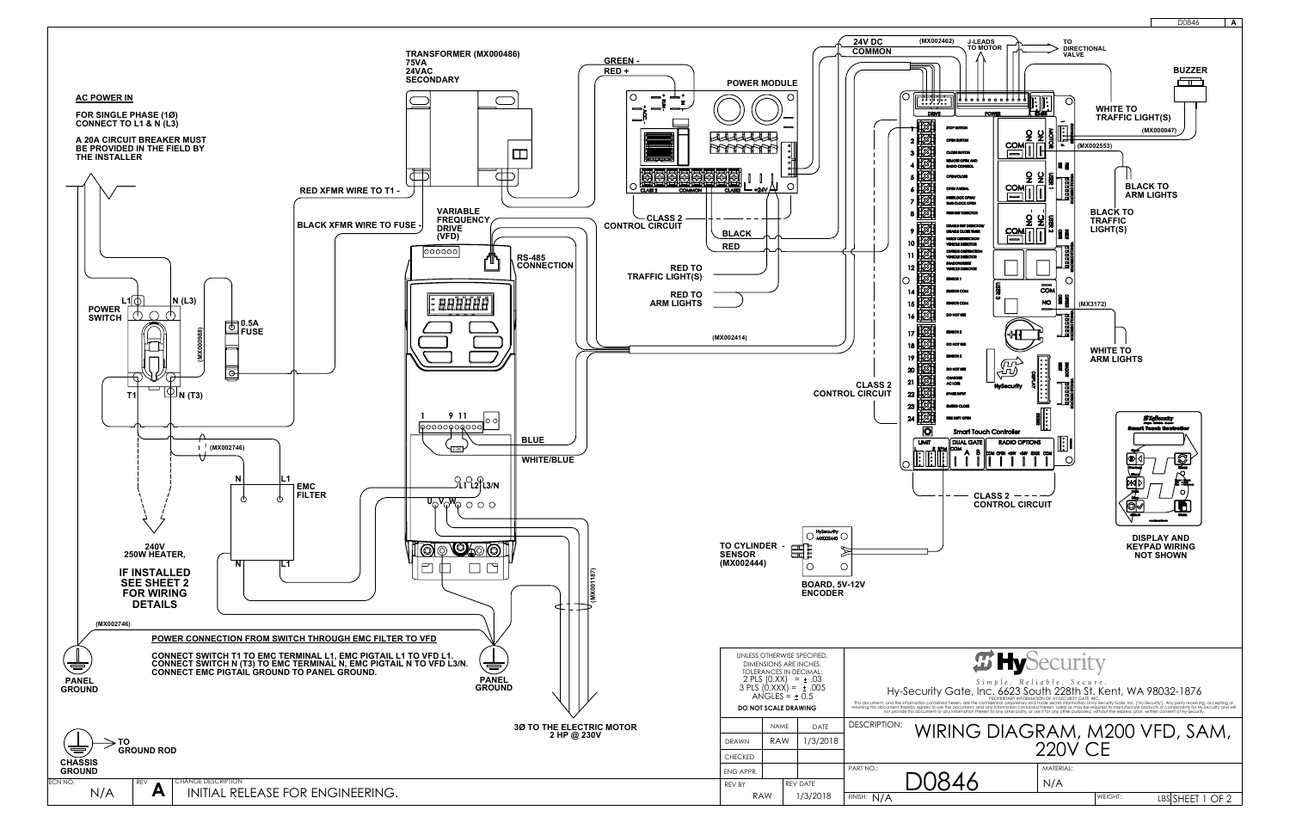